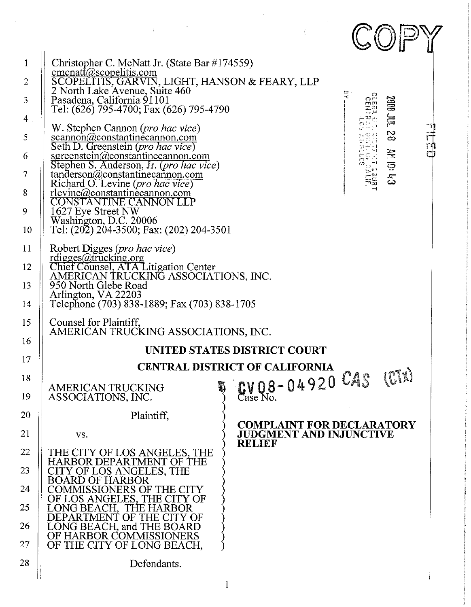|                                                                         |                                                                                                                                                                                                                                                                                                                                                                                                                                                                                                                                                                                                                                                                                |  |                                                                    |  |         | $\mathbb{C} \mathbb{O} \mathbb{P}$            |     |
|-------------------------------------------------------------------------|--------------------------------------------------------------------------------------------------------------------------------------------------------------------------------------------------------------------------------------------------------------------------------------------------------------------------------------------------------------------------------------------------------------------------------------------------------------------------------------------------------------------------------------------------------------------------------------------------------------------------------------------------------------------------------|--|--------------------------------------------------------------------|--|---------|-----------------------------------------------|-----|
| $\mathbf{1}$<br>$\overline{2}$<br>3<br>4<br>5<br>6<br>7<br>8<br>9<br>10 | Christopher C. McNatt Jr. (State Bar #174559)<br>cmcnatt@scopelitis.com<br>SCOPELITIS, GARVIN, LIGHT, HANSON & FEARY, LLP<br>2 North Lake Avenue, Suite 460<br>Pasadena, California 91101<br>Tel: (626) 795-4700; Fax (626) 795-4790<br>W. Stephen Cannon ( <i>pro hac vice</i> )<br>scannon(a)constantinecannon.com<br>Seth D. Greenstein (pro hac vice)<br>sgreenstein@constantinecannon.com<br>Stephen S. Anderson, Jr. (pro hac vice)<br>tanderson@constantinecannon.com<br>Richard O. Levine (pro hac vice)<br><u>rlevine@constantinecannon.com</u><br>CONSTANTINE CANNON LLP<br>1627 Eye Street NW<br>Washington, D.C. 20006<br>Tel: (202) 204-3500; Fax: (202) 204-3501 |  |                                                                    |  | h<br>Ve | TINT BOOZ<br>$\frac{1}{8}$<br><b>Shiol NV</b> | 可口口 |
| 11<br>12<br>13<br>14                                                    | Robert Digges (pro hac vice)<br>rdigges@trucking.org<br>Chief Counsel, ATA Litigation Center<br>AMERICAN TRUCKING ASSOCIATIONS, INC.<br>950 North Glebe Road<br>Arlington, VA 22203<br>Telephone (703) 838-1889; Fax (703) 838-1705                                                                                                                                                                                                                                                                                                                                                                                                                                            |  |                                                                    |  |         |                                               |     |
| 15<br>16                                                                | Counsel for Plaintiff,<br>AMERICAN TRUCKING ASSOCIATIONS, INC.                                                                                                                                                                                                                                                                                                                                                                                                                                                                                                                                                                                                                 |  |                                                                    |  |         |                                               |     |
| 17                                                                      | UNITED STATES DISTRICT COURT                                                                                                                                                                                                                                                                                                                                                                                                                                                                                                                                                                                                                                                   |  |                                                                    |  |         |                                               |     |
|                                                                         | <b>CENTRAL DISTRICT OF CALIFORNIA</b>                                                                                                                                                                                                                                                                                                                                                                                                                                                                                                                                                                                                                                          |  |                                                                    |  |         |                                               |     |
| 18<br>19                                                                | <b>AMERICAN TRUCKING</b><br>ASSOCIATIONS, INC.                                                                                                                                                                                                                                                                                                                                                                                                                                                                                                                                                                                                                                 |  | Case No. 04920 CAS                                                 |  |         | (CTx)                                         |     |
| 20                                                                      | Plaintiff,                                                                                                                                                                                                                                                                                                                                                                                                                                                                                                                                                                                                                                                                     |  |                                                                    |  |         |                                               |     |
| 21                                                                      | VS.                                                                                                                                                                                                                                                                                                                                                                                                                                                                                                                                                                                                                                                                            |  | <b>COMPLAINT FOR DECLARATORY</b><br><b>JUDGMENT AND INJUNCTIVE</b> |  |         |                                               |     |
| 22                                                                      | THE CITY OF LOS ANGELES, THE                                                                                                                                                                                                                                                                                                                                                                                                                                                                                                                                                                                                                                                   |  | <b>RELIEF</b>                                                      |  |         |                                               |     |
| 23                                                                      | HARBOR DEPARTMENT OF THE<br>CITY OF LOS ANGELES, THE                                                                                                                                                                                                                                                                                                                                                                                                                                                                                                                                                                                                                           |  |                                                                    |  |         |                                               |     |
|                                                                         | <b>BOARD OF HARBOR</b>                                                                                                                                                                                                                                                                                                                                                                                                                                                                                                                                                                                                                                                         |  |                                                                    |  |         |                                               |     |
| 24                                                                      | COMMISSIONERS OF THE CITY<br>OF LOS ANGELES, THE CITY OF LONG BEACH, THE HARBOR                                                                                                                                                                                                                                                                                                                                                                                                                                                                                                                                                                                                |  |                                                                    |  |         |                                               |     |
| 25                                                                      | DEPARTMENT OF THE CITY OF                                                                                                                                                                                                                                                                                                                                                                                                                                                                                                                                                                                                                                                      |  |                                                                    |  |         |                                               |     |
| 26<br>27                                                                | LONG BEACH, and THE BOARD<br>OF HARBOR COMMISSIONERS<br>OF THE CITY OF LONG BEACH,                                                                                                                                                                                                                                                                                                                                                                                                                                                                                                                                                                                             |  |                                                                    |  |         |                                               |     |
| 28                                                                      | Defendants.                                                                                                                                                                                                                                                                                                                                                                                                                                                                                                                                                                                                                                                                    |  |                                                                    |  |         |                                               |     |
|                                                                         |                                                                                                                                                                                                                                                                                                                                                                                                                                                                                                                                                                                                                                                                                |  |                                                                    |  |         |                                               |     |

 $\mathbf{1}$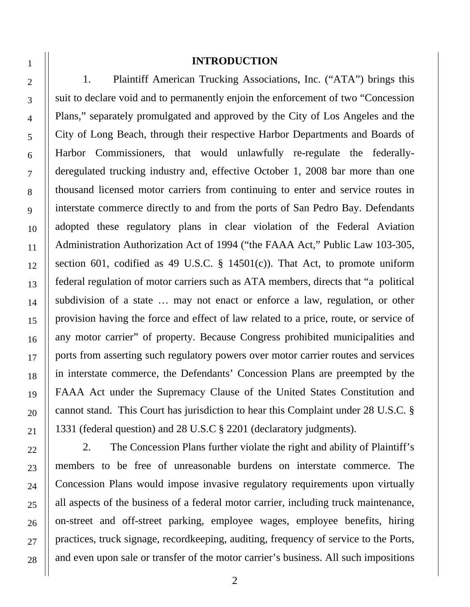#### **INTRODUCTION**

1. Plaintiff American Trucking Associations, Inc. ("ATA") brings this suit to declare void and to permanently enjoin the enforcement of two "Concession Plans," separately promulgated and approved by the City of Los Angeles and the City of Long Beach, through their respective Harbor Departments and Boards of Harbor Commissioners, that would unlawfully re-regulate the federallyderegulated trucking industry and, effective October 1, 2008 bar more than one thousand licensed motor carriers from continuing to enter and service routes in interstate commerce directly to and from the ports of San Pedro Bay. Defendants adopted these regulatory plans in clear violation of the Federal Aviation Administration Authorization Act of 1994 ("the FAAA Act," Public Law 103-305, section 601, codified as 49 U.S.C.  $\S$  14501(c)). That Act, to promote uniform federal regulation of motor carriers such as ATA members, directs that "a political subdivision of a state … may not enact or enforce a law, regulation, or other provision having the force and effect of law related to a price, route, or service of any motor carrier" of property. Because Congress prohibited municipalities and ports from asserting such regulatory powers over motor carrier routes and services in interstate commerce, the Defendants' Concession Plans are preempted by the FAAA Act under the Supremacy Clause of the United States Constitution and cannot stand. This Court has jurisdiction to hear this Complaint under 28 U.S.C. § 1331 (federal question) and 28 U.S.C § 2201 (declaratory judgments).

2. The Concession Plans further violate the right and ability of Plaintiff's members to be free of unreasonable burdens on interstate commerce. The Concession Plans would impose invasive regulatory requirements upon virtually all aspects of the business of a federal motor carrier, including truck maintenance, on-street and off-street parking, employee wages, employee benefits, hiring practices, truck signage, recordkeeping, auditing, frequency of service to the Ports, and even upon sale or transfer of the motor carrier's business. All such impositions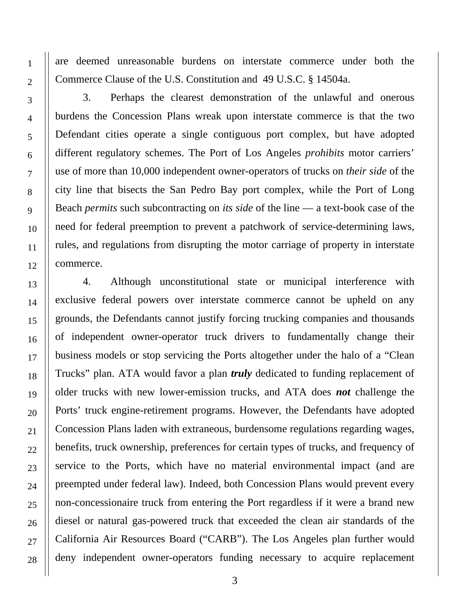are deemed unreasonable burdens on interstate commerce under both the Commerce Clause of the U.S. Constitution and 49 U.S.C. § 14504a.

3. Perhaps the clearest demonstration of the unlawful and onerous burdens the Concession Plans wreak upon interstate commerce is that the two Defendant cities operate a single contiguous port complex, but have adopted different regulatory schemes. The Port of Los Angeles *prohibits* motor carriers' use of more than 10,000 independent owner-operators of trucks on *their side* of the city line that bisects the San Pedro Bay port complex, while the Port of Long Beach *permits* such subcontracting on *its side* of the line — a text-book case of the need for federal preemption to prevent a patchwork of service-determining laws, rules, and regulations from disrupting the motor carriage of property in interstate commerce.

4. Although unconstitutional state or municipal interference with exclusive federal powers over interstate commerce cannot be upheld on any grounds, the Defendants cannot justify forcing trucking companies and thousands of independent owner-operator truck drivers to fundamentally change their business models or stop servicing the Ports altogether under the halo of a "Clean Trucks" plan. ATA would favor a plan *truly* dedicated to funding replacement of older trucks with new lower-emission trucks, and ATA does *not* challenge the Ports' truck engine-retirement programs. However, the Defendants have adopted Concession Plans laden with extraneous, burdensome regulations regarding wages, benefits, truck ownership, preferences for certain types of trucks, and frequency of service to the Ports, which have no material environmental impact (and are preempted under federal law). Indeed, both Concession Plans would prevent every non-concessionaire truck from entering the Port regardless if it were a brand new diesel or natural gas-powered truck that exceeded the clean air standards of the California Air Resources Board ("CARB"). The Los Angeles plan further would deny independent owner-operators funding necessary to acquire replacement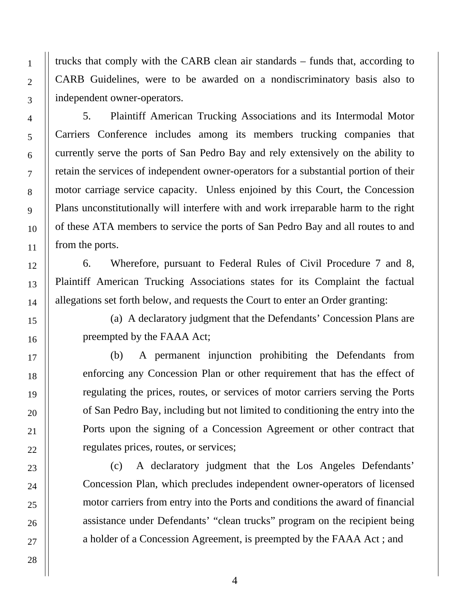trucks that comply with the CARB clean air standards – funds that, according to CARB Guidelines, were to be awarded on a nondiscriminatory basis also to independent owner-operators.

5. Plaintiff American Trucking Associations and its Intermodal Motor Carriers Conference includes among its members trucking companies that currently serve the ports of San Pedro Bay and rely extensively on the ability to retain the services of independent owner-operators for a substantial portion of their motor carriage service capacity. Unless enjoined by this Court, the Concession Plans unconstitutionally will interfere with and work irreparable harm to the right of these ATA members to service the ports of San Pedro Bay and all routes to and from the ports.

6. Wherefore, pursuant to Federal Rules of Civil Procedure 7 and 8, Plaintiff American Trucking Associations states for its Complaint the factual allegations set forth below, and requests the Court to enter an Order granting:

(a) A declaratory judgment that the Defendants' Concession Plans are preempted by the FAAA Act;

(b) A permanent injunction prohibiting the Defendants from enforcing any Concession Plan or other requirement that has the effect of regulating the prices, routes, or services of motor carriers serving the Ports of San Pedro Bay, including but not limited to conditioning the entry into the Ports upon the signing of a Concession Agreement or other contract that regulates prices, routes, or services;

(c) A declaratory judgment that the Los Angeles Defendants' Concession Plan, which precludes independent owner-operators of licensed motor carriers from entry into the Ports and conditions the award of financial assistance under Defendants' "clean trucks" program on the recipient being a holder of a Concession Agreement, is preempted by the FAAA Act ; and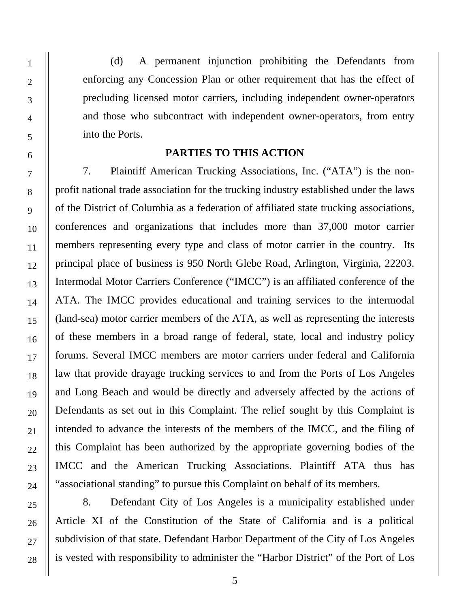(d) A permanent injunction prohibiting the Defendants from enforcing any Concession Plan or other requirement that has the effect of precluding licensed motor carriers, including independent owner-operators and those who subcontract with independent owner-operators, from entry into the Ports.

#### **PARTIES TO THIS ACTION**

7. Plaintiff American Trucking Associations, Inc. ("ATA") is the nonprofit national trade association for the trucking industry established under the laws of the District of Columbia as a federation of affiliated state trucking associations, conferences and organizations that includes more than 37,000 motor carrier members representing every type and class of motor carrier in the country. Its principal place of business is 950 North Glebe Road, Arlington, Virginia, 22203. Intermodal Motor Carriers Conference ("IMCC") is an affiliated conference of the ATA. The IMCC provides educational and training services to the intermodal (land-sea) motor carrier members of the ATA, as well as representing the interests of these members in a broad range of federal, state, local and industry policy forums. Several IMCC members are motor carriers under federal and California law that provide drayage trucking services to and from the Ports of Los Angeles and Long Beach and would be directly and adversely affected by the actions of Defendants as set out in this Complaint. The relief sought by this Complaint is intended to advance the interests of the members of the IMCC, and the filing of this Complaint has been authorized by the appropriate governing bodies of the IMCC and the American Trucking Associations. Plaintiff ATA thus has "associational standing" to pursue this Complaint on behalf of its members.

8. Defendant City of Los Angeles is a municipality established under Article XI of the Constitution of the State of California and is a political subdivision of that state. Defendant Harbor Department of the City of Los Angeles is vested with responsibility to administer the "Harbor District" of the Port of Los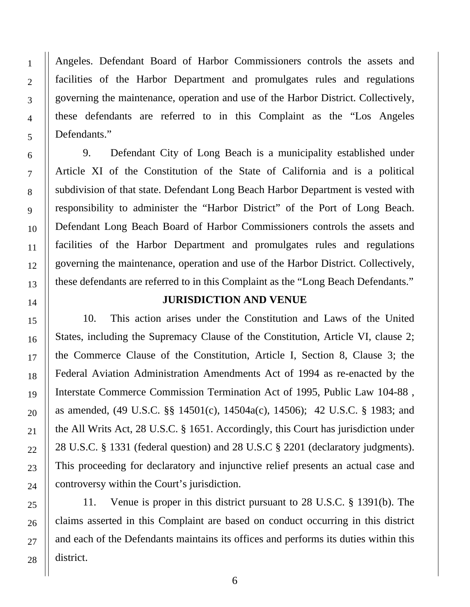Angeles. Defendant Board of Harbor Commissioners controls the assets and facilities of the Harbor Department and promulgates rules and regulations governing the maintenance, operation and use of the Harbor District. Collectively, these defendants are referred to in this Complaint as the "Los Angeles Defendants."

9. Defendant City of Long Beach is a municipality established under Article XI of the Constitution of the State of California and is a political subdivision of that state. Defendant Long Beach Harbor Department is vested with responsibility to administer the "Harbor District" of the Port of Long Beach. Defendant Long Beach Board of Harbor Commissioners controls the assets and facilities of the Harbor Department and promulgates rules and regulations governing the maintenance, operation and use of the Harbor District. Collectively, these defendants are referred to in this Complaint as the "Long Beach Defendants."

#### **JURISDICTION AND VENUE**

10. This action arises under the Constitution and Laws of the United States, including the Supremacy Clause of the Constitution, Article VI, clause 2; the Commerce Clause of the Constitution, Article I, Section 8, Clause 3; the Federal Aviation Administration Amendments Act of 1994 as re-enacted by the Interstate Commerce Commission Termination Act of 1995, Public Law 104-88 , as amended, (49 U.S.C. §§ 14501(c), 14504a(c), 14506); 42 U.S.C. § 1983; and the All Writs Act, 28 U.S.C. § 1651. Accordingly, this Court has jurisdiction under 28 U.S.C. § 1331 (federal question) and 28 U.S.C § 2201 (declaratory judgments). This proceeding for declaratory and injunctive relief presents an actual case and controversy within the Court's jurisdiction.

11. Venue is proper in this district pursuant to 28 U.S.C. § 1391(b). The claims asserted in this Complaint are based on conduct occurring in this district and each of the Defendants maintains its offices and performs its duties within this district.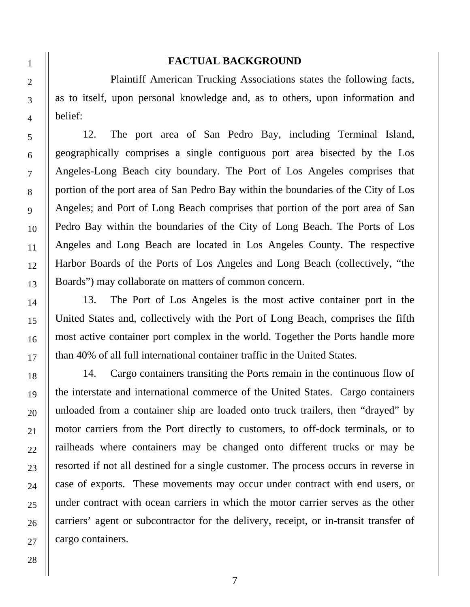#### **FACTUAL BACKGROUND**

 Plaintiff American Trucking Associations states the following facts, as to itself, upon personal knowledge and, as to others, upon information and belief:

12. The port area of San Pedro Bay, including Terminal Island, geographically comprises a single contiguous port area bisected by the Los Angeles-Long Beach city boundary. The Port of Los Angeles comprises that portion of the port area of San Pedro Bay within the boundaries of the City of Los Angeles; and Port of Long Beach comprises that portion of the port area of San Pedro Bay within the boundaries of the City of Long Beach. The Ports of Los Angeles and Long Beach are located in Los Angeles County. The respective Harbor Boards of the Ports of Los Angeles and Long Beach (collectively, "the Boards") may collaborate on matters of common concern.

13. The Port of Los Angeles is the most active container port in the United States and, collectively with the Port of Long Beach, comprises the fifth most active container port complex in the world. Together the Ports handle more than 40% of all full international container traffic in the United States.

14. Cargo containers transiting the Ports remain in the continuous flow of the interstate and international commerce of the United States. Cargo containers unloaded from a container ship are loaded onto truck trailers, then "drayed" by motor carriers from the Port directly to customers, to off-dock terminals, or to railheads where containers may be changed onto different trucks or may be resorted if not all destined for a single customer. The process occurs in reverse in case of exports. These movements may occur under contract with end users, or under contract with ocean carriers in which the motor carrier serves as the other carriers' agent or subcontractor for the delivery, receipt, or in-transit transfer of cargo containers.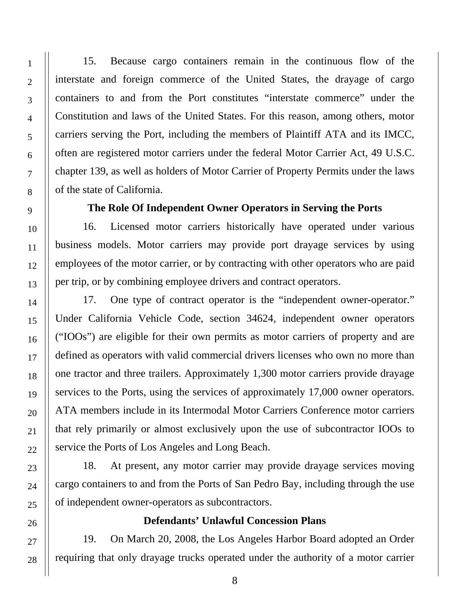15. Because cargo containers remain in the continuous flow of the interstate and foreign commerce of the United States, the drayage of cargo containers to and from the Port constitutes "interstate commerce" under the Constitution and laws of the United States. For this reason, among others, motor carriers serving the Port, including the members of Plaintiff ATA and its IMCC, often are registered motor carriers under the federal Motor Carrier Act, 49 U.S.C. chapter 139, as well as holders of Motor Carrier of Property Permits under the laws of the state of California.

### **The Role Of Independent Owner Operators in Serving the Ports**

16. Licensed motor carriers historically have operated under various business models. Motor carriers may provide port drayage services by using employees of the motor carrier, or by contracting with other operators who are paid per trip, or by combining employee drivers and contract operators.

17. One type of contract operator is the "independent owner-operator." Under California Vehicle Code, section 34624, independent owner operators ("IOOs") are eligible for their own permits as motor carriers of property and are defined as operators with valid commercial drivers licenses who own no more than one tractor and three trailers. Approximately 1,300 motor carriers provide drayage services to the Ports, using the services of approximately 17,000 owner operators. ATA members include in its Intermodal Motor Carriers Conference motor carriers that rely primarily or almost exclusively upon the use of subcontractor IOOs to service the Ports of Los Angeles and Long Beach.

18. At present, any motor carrier may provide drayage services moving cargo containers to and from the Ports of San Pedro Bay, including through the use of independent owner-operators as subcontractors.

#### **Defendants' Unlawful Concession Plans**

19. On March 20, 2008, the Los Angeles Harbor Board adopted an Order requiring that only drayage trucks operated under the authority of a motor carrier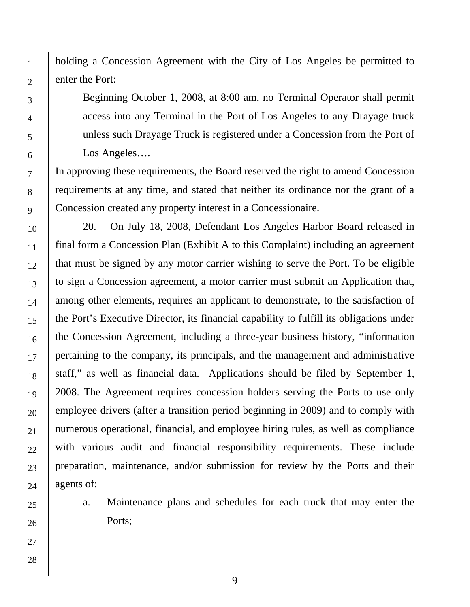holding a Concession Agreement with the City of Los Angeles be permitted to enter the Port:

Beginning October 1, 2008, at 8:00 am, no Terminal Operator shall permit access into any Terminal in the Port of Los Angeles to any Drayage truck unless such Drayage Truck is registered under a Concession from the Port of Los Angeles….

In approving these requirements, the Board reserved the right to amend Concession requirements at any time, and stated that neither its ordinance nor the grant of a Concession created any property interest in a Concessionaire.

20. On July 18, 2008, Defendant Los Angeles Harbor Board released in final form a Concession Plan (Exhibit A to this Complaint) including an agreement that must be signed by any motor carrier wishing to serve the Port. To be eligible to sign a Concession agreement, a motor carrier must submit an Application that, among other elements, requires an applicant to demonstrate, to the satisfaction of the Port's Executive Director, its financial capability to fulfill its obligations under the Concession Agreement, including a three-year business history, "information pertaining to the company, its principals, and the management and administrative staff," as well as financial data. Applications should be filed by September 1, 2008. The Agreement requires concession holders serving the Ports to use only employee drivers (after a transition period beginning in 2009) and to comply with numerous operational, financial, and employee hiring rules, as well as compliance with various audit and financial responsibility requirements. These include preparation, maintenance, and/or submission for review by the Ports and their agents of:

a. Maintenance plans and schedules for each truck that may enter the Ports;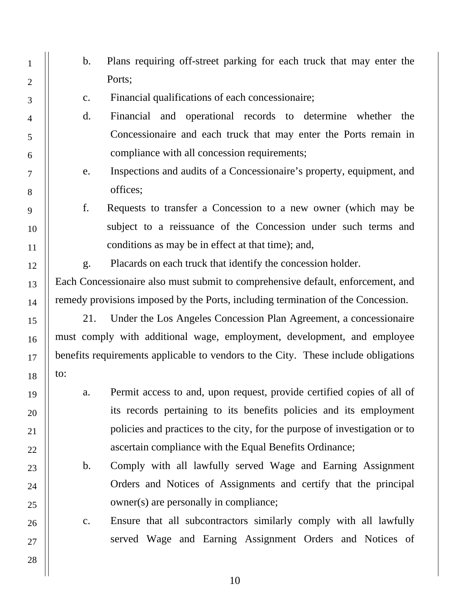1 2 3 4 5 6 7 8 9 10 11 12 13 14 15 16 17 18 19 20 21 22 23 24 25 26 27 28 b. Plans requiring off-street parking for each truck that may enter the Ports; c. Financial qualifications of each concessionaire; d. Financial and operational records to determine whether the Concessionaire and each truck that may enter the Ports remain in compliance with all concession requirements; e. Inspections and audits of a Concessionaire's property, equipment, and offices; f. Requests to transfer a Concession to a new owner (which may be subject to a reissuance of the Concession under such terms and conditions as may be in effect at that time); and, g. Placards on each truck that identify the concession holder. Each Concessionaire also must submit to comprehensive default, enforcement, and remedy provisions imposed by the Ports, including termination of the Concession. 21. Under the Los Angeles Concession Plan Agreement, a concessionaire must comply with additional wage, employment, development, and employee benefits requirements applicable to vendors to the City. These include obligations to: a. Permit access to and, upon request, provide certified copies of all of its records pertaining to its benefits policies and its employment policies and practices to the city, for the purpose of investigation or to ascertain compliance with the Equal Benefits Ordinance; b. Comply with all lawfully served Wage and Earning Assignment Orders and Notices of Assignments and certify that the principal owner(s) are personally in compliance; c. Ensure that all subcontractors similarly comply with all lawfully served Wage and Earning Assignment Orders and Notices of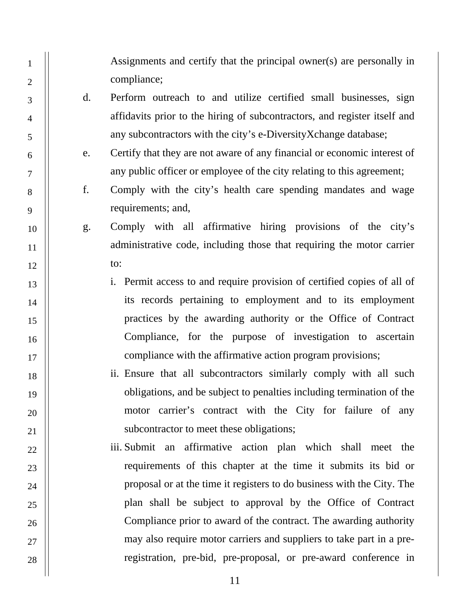Assignments and certify that the principal owner(s) are personally in compliance;

d. Perform outreach to and utilize certified small businesses, sign affidavits prior to the hiring of subcontractors, and register itself and any subcontractors with the city's e-DiversityXchange database;

1

2

3

4

5

6

7

8

9

10

11

12

13

14

15

16

17

18

19

20

21

22

23

24

25

26

27

- e. Certify that they are not aware of any financial or economic interest of any public officer or employee of the city relating to this agreement;
- f. Comply with the city's health care spending mandates and wage requirements; and,
- g. Comply with all affirmative hiring provisions of the city's administrative code, including those that requiring the motor carrier to:
	- i. Permit access to and require provision of certified copies of all of its records pertaining to employment and to its employment practices by the awarding authority or the Office of Contract Compliance, for the purpose of investigation to ascertain compliance with the affirmative action program provisions;
	- ii. Ensure that all subcontractors similarly comply with all such obligations, and be subject to penalties including termination of the motor carrier's contract with the City for failure of any subcontractor to meet these obligations;
	- iii. Submit an affirmative action plan which shall meet the requirements of this chapter at the time it submits its bid or proposal or at the time it registers to do business with the City. The plan shall be subject to approval by the Office of Contract Compliance prior to award of the contract. The awarding authority may also require motor carriers and suppliers to take part in a preregistration, pre-bid, pre-proposal, or pre-award conference in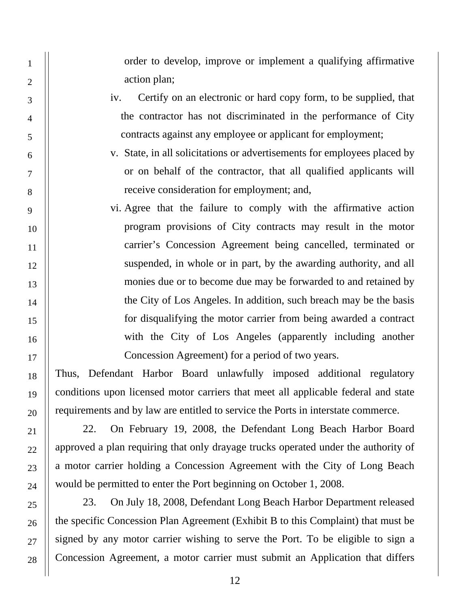order to develop, improve or implement a qualifying affirmative action plan;

- iv. Certify on an electronic or hard copy form, to be supplied, that the contractor has not discriminated in the performance of City contracts against any employee or applicant for employment;
- v. State, in all solicitations or advertisements for employees placed by or on behalf of the contractor, that all qualified applicants will receive consideration for employment; and,
- vi. Agree that the failure to comply with the affirmative action program provisions of City contracts may result in the motor carrier's Concession Agreement being cancelled, terminated or suspended, in whole or in part, by the awarding authority, and all monies due or to become due may be forwarded to and retained by the City of Los Angeles. In addition, such breach may be the basis for disqualifying the motor carrier from being awarded a contract with the City of Los Angeles (apparently including another Concession Agreement) for a period of two years.

Thus, Defendant Harbor Board unlawfully imposed additional regulatory conditions upon licensed motor carriers that meet all applicable federal and state requirements and by law are entitled to service the Ports in interstate commerce.

22. On February 19, 2008, the Defendant Long Beach Harbor Board approved a plan requiring that only drayage trucks operated under the authority of a motor carrier holding a Concession Agreement with the City of Long Beach would be permitted to enter the Port beginning on October 1, 2008.

23. On July 18, 2008, Defendant Long Beach Harbor Department released the specific Concession Plan Agreement (Exhibit B to this Complaint) that must be signed by any motor carrier wishing to serve the Port. To be eligible to sign a Concession Agreement, a motor carrier must submit an Application that differs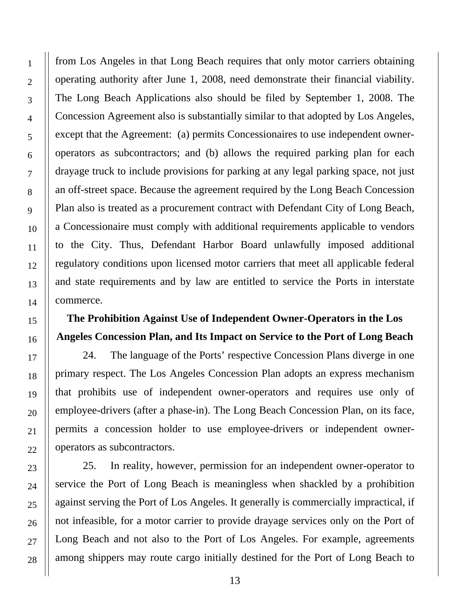from Los Angeles in that Long Beach requires that only motor carriers obtaining operating authority after June 1, 2008, need demonstrate their financial viability. The Long Beach Applications also should be filed by September 1, 2008. The Concession Agreement also is substantially similar to that adopted by Los Angeles, except that the Agreement: (a) permits Concessionaires to use independent owneroperators as subcontractors; and (b) allows the required parking plan for each drayage truck to include provisions for parking at any legal parking space, not just an off-street space. Because the agreement required by the Long Beach Concession Plan also is treated as a procurement contract with Defendant City of Long Beach, a Concessionaire must comply with additional requirements applicable to vendors to the City. Thus, Defendant Harbor Board unlawfully imposed additional regulatory conditions upon licensed motor carriers that meet all applicable federal and state requirements and by law are entitled to service the Ports in interstate commerce.

## **The Prohibition Against Use of Independent Owner-Operators in the Los Angeles Concession Plan, and Its Impact on Service to the Port of Long Beach**

24. The language of the Ports' respective Concession Plans diverge in one primary respect. The Los Angeles Concession Plan adopts an express mechanism that prohibits use of independent owner-operators and requires use only of employee-drivers (after a phase-in). The Long Beach Concession Plan, on its face, permits a concession holder to use employee-drivers or independent owneroperators as subcontractors.

25. In reality, however, permission for an independent owner-operator to service the Port of Long Beach is meaningless when shackled by a prohibition against serving the Port of Los Angeles. It generally is commercially impractical, if not infeasible, for a motor carrier to provide drayage services only on the Port of Long Beach and not also to the Port of Los Angeles. For example, agreements among shippers may route cargo initially destined for the Port of Long Beach to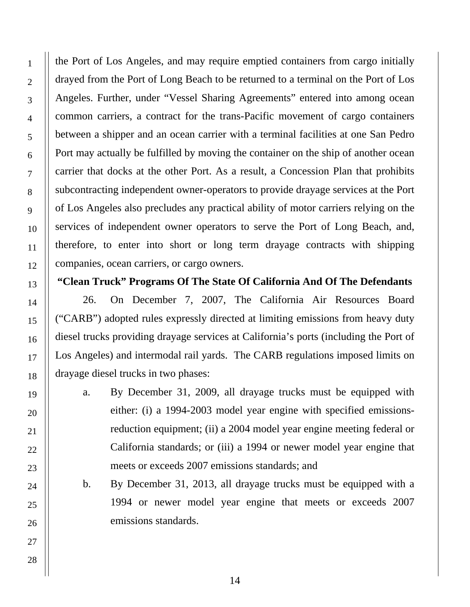the Port of Los Angeles, and may require emptied containers from cargo initially drayed from the Port of Long Beach to be returned to a terminal on the Port of Los Angeles. Further, under "Vessel Sharing Agreements" entered into among ocean common carriers, a contract for the trans-Pacific movement of cargo containers between a shipper and an ocean carrier with a terminal facilities at one San Pedro Port may actually be fulfilled by moving the container on the ship of another ocean carrier that docks at the other Port. As a result, a Concession Plan that prohibits subcontracting independent owner-operators to provide drayage services at the Port of Los Angeles also precludes any practical ability of motor carriers relying on the services of independent owner operators to serve the Port of Long Beach, and, therefore, to enter into short or long term drayage contracts with shipping companies, ocean carriers, or cargo owners.

### **"Clean Truck" Programs Of The State Of California And Of The Defendants**

26. On December 7, 2007, The California Air Resources Board ("CARB") adopted rules expressly directed at limiting emissions from heavy duty diesel trucks providing drayage services at California's ports (including the Port of Los Angeles) and intermodal rail yards. The CARB regulations imposed limits on drayage diesel trucks in two phases:

- a. By December 31, 2009, all drayage trucks must be equipped with either: (i) a 1994-2003 model year engine with specified emissionsreduction equipment; (ii) a 2004 model year engine meeting federal or California standards; or (iii) a 1994 or newer model year engine that meets or exceeds 2007 emissions standards; and
- b. By December 31, 2013, all drayage trucks must be equipped with a 1994 or newer model year engine that meets or exceeds 2007 emissions standards.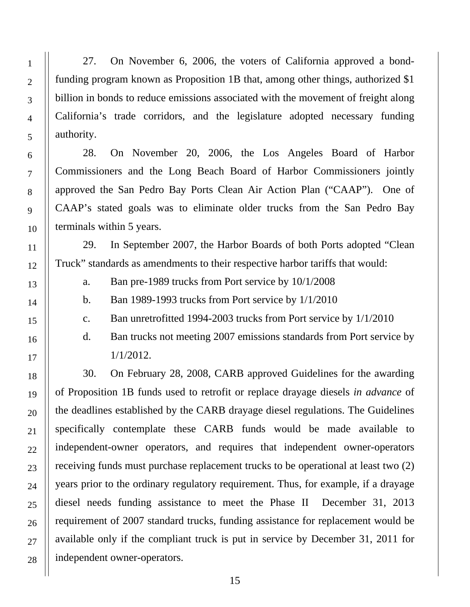27. On November 6, 2006, the voters of California approved a bondfunding program known as Proposition 1B that, among other things, authorized \$1 billion in bonds to reduce emissions associated with the movement of freight along California's trade corridors, and the legislature adopted necessary funding authority.

28. On November 20, 2006, the Los Angeles Board of Harbor Commissioners and the Long Beach Board of Harbor Commissioners jointly approved the San Pedro Bay Ports Clean Air Action Plan ("CAAP"). One of CAAP's stated goals was to eliminate older trucks from the San Pedro Bay terminals within 5 years.

29. In September 2007, the Harbor Boards of both Ports adopted "Clean Truck" standards as amendments to their respective harbor tariffs that would:

a. Ban pre-1989 trucks from Port service by 10/1/2008

b. Ban 1989-1993 trucks from Port service by 1/1/2010

c. Ban unretrofitted 1994-2003 trucks from Port service by 1/1/2010

d. Ban trucks not meeting 2007 emissions standards from Port service by 1/1/2012.

30. On February 28, 2008, CARB approved Guidelines for the awarding of Proposition 1B funds used to retrofit or replace drayage diesels *in advance* of the deadlines established by the CARB drayage diesel regulations. The Guidelines specifically contemplate these CARB funds would be made available to independent-owner operators, and requires that independent owner-operators receiving funds must purchase replacement trucks to be operational at least two (2) years prior to the ordinary regulatory requirement. Thus, for example, if a drayage diesel needs funding assistance to meet the Phase II December 31, 2013 requirement of 2007 standard trucks, funding assistance for replacement would be available only if the compliant truck is put in service by December 31, 2011 for independent owner-operators.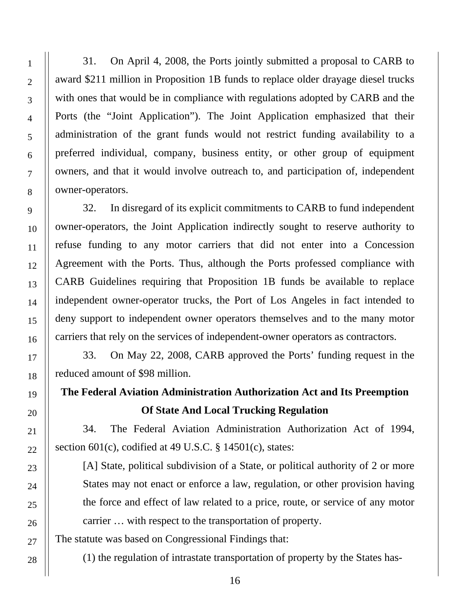31. On April 4, 2008, the Ports jointly submitted a proposal to CARB to award \$211 million in Proposition 1B funds to replace older drayage diesel trucks with ones that would be in compliance with regulations adopted by CARB and the Ports (the "Joint Application"). The Joint Application emphasized that their administration of the grant funds would not restrict funding availability to a preferred individual, company, business entity, or other group of equipment owners, and that it would involve outreach to, and participation of, independent owner-operators.

32. In disregard of its explicit commitments to CARB to fund independent owner-operators, the Joint Application indirectly sought to reserve authority to refuse funding to any motor carriers that did not enter into a Concession Agreement with the Ports. Thus, although the Ports professed compliance with CARB Guidelines requiring that Proposition 1B funds be available to replace independent owner-operator trucks, the Port of Los Angeles in fact intended to deny support to independent owner operators themselves and to the many motor carriers that rely on the services of independent-owner operators as contractors.

33. On May 22, 2008, CARB approved the Ports' funding request in the reduced amount of \$98 million.

# **The Federal Aviation Administration Authorization Act and Its Preemption Of State And Local Trucking Regulation**

34. The Federal Aviation Administration Authorization Act of 1994, section 601(c), codified at 49 U.S.C. § 14501(c), states:

[A] State, political subdivision of a State, or political authority of 2 or more States may not enact or enforce a law, regulation, or other provision having the force and effect of law related to a price, route, or service of any motor carrier … with respect to the transportation of property.

The statute was based on Congressional Findings that:

(1) the regulation of intrastate transportation of property by the States has-

1

2

3

4

5

6

7

8

9

10

11

12

13

14

15

16

17

18

19

20

21

22

23

24

25

26

27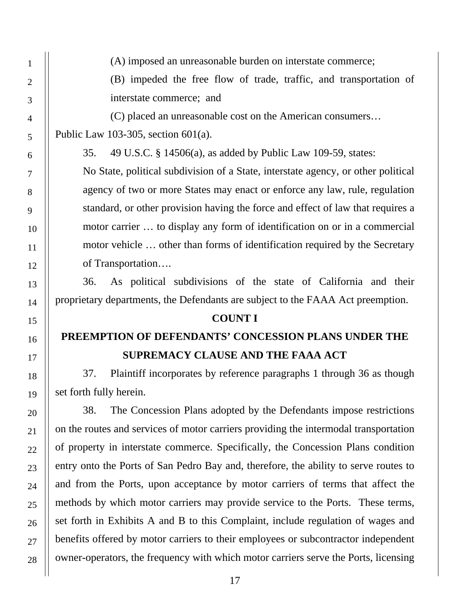(A) imposed an unreasonable burden on interstate commerce;

(B) impeded the free flow of trade, traffic, and transportation of interstate commerce; and

(C) placed an unreasonable cost on the American consumers…

Public Law 103-305, section 601(a).

35. 49 U.S.C. § 14506(a), as added by Public Law 109-59, states:

No State, political subdivision of a State, interstate agency, or other political agency of two or more States may enact or enforce any law, rule, regulation standard, or other provision having the force and effect of law that requires a motor carrier … to display any form of identification on or in a commercial motor vehicle … other than forms of identification required by the Secretary of Transportation….

36. As political subdivisions of the state of California and their proprietary departments, the Defendants are subject to the FAAA Act preemption.

#### **COUNT I**

# **PREEMPTION OF DEFENDANTS' CONCESSION PLANS UNDER THE SUPREMACY CLAUSE AND THE FAAA ACT**

37. Plaintiff incorporates by reference paragraphs 1 through 36 as though set forth fully herein.

38. The Concession Plans adopted by the Defendants impose restrictions on the routes and services of motor carriers providing the intermodal transportation of property in interstate commerce. Specifically, the Concession Plans condition entry onto the Ports of San Pedro Bay and, therefore, the ability to serve routes to and from the Ports, upon acceptance by motor carriers of terms that affect the methods by which motor carriers may provide service to the Ports. These terms, set forth in Exhibits A and B to this Complaint, include regulation of wages and benefits offered by motor carriers to their employees or subcontractor independent owner-operators, the frequency with which motor carriers serve the Ports, licensing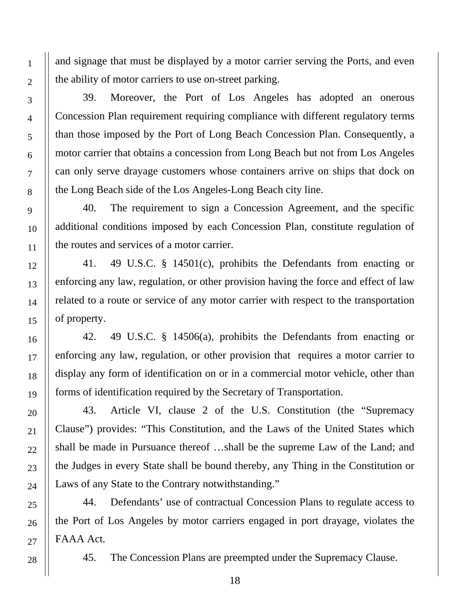and signage that must be displayed by a motor carrier serving the Ports, and even the ability of motor carriers to use on-street parking.

39. Moreover, the Port of Los Angeles has adopted an onerous Concession Plan requirement requiring compliance with different regulatory terms than those imposed by the Port of Long Beach Concession Plan. Consequently, a motor carrier that obtains a concession from Long Beach but not from Los Angeles can only serve drayage customers whose containers arrive on ships that dock on the Long Beach side of the Los Angeles-Long Beach city line.

40. The requirement to sign a Concession Agreement, and the specific additional conditions imposed by each Concession Plan, constitute regulation of the routes and services of a motor carrier.

41. 49 U.S.C. § 14501(c), prohibits the Defendants from enacting or enforcing any law, regulation, or other provision having the force and effect of law related to a route or service of any motor carrier with respect to the transportation of property.

42. 49 U.S.C. § 14506(a), prohibits the Defendants from enacting or enforcing any law, regulation, or other provision that requires a motor carrier to display any form of identification on or in a commercial motor vehicle, other than forms of identification required by the Secretary of Transportation.

43. Article VI, clause 2 of the U.S. Constitution (the "Supremacy Clause") provides: "This Constitution, and the Laws of the United States which shall be made in Pursuance thereof …shall be the supreme Law of the Land; and the Judges in every State shall be bound thereby, any Thing in the Constitution or Laws of any State to the Contrary notwithstanding."

44. Defendants' use of contractual Concession Plans to regulate access to the Port of Los Angeles by motor carriers engaged in port drayage, violates the FAAA Act.

45. The Concession Plans are preempted under the Supremacy Clause.

1

2

3

4

5

6

7

8

9

10

11

12

13

14

15

16

17

18

19

20

21

22

23

24

25

26

27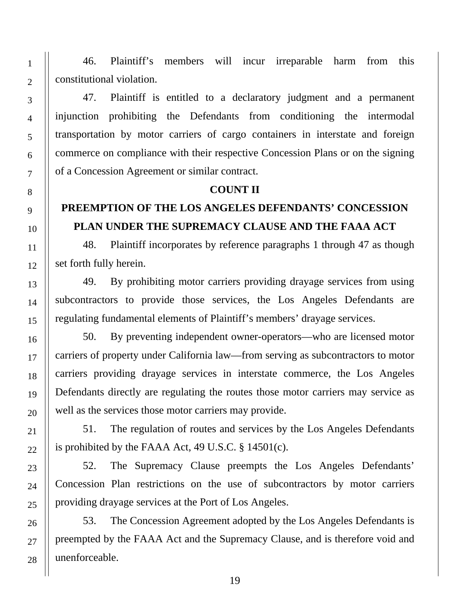46. Plaintiff's members will incur irreparable harm from this constitutional violation.

47. Plaintiff is entitled to a declaratory judgment and a permanent injunction prohibiting the Defendants from conditioning the intermodal transportation by motor carriers of cargo containers in interstate and foreign commerce on compliance with their respective Concession Plans or on the signing of a Concession Agreement or similar contract.

#### **COUNT II**

## **PREEMPTION OF THE LOS ANGELES DEFENDANTS' CONCESSION PLAN UNDER THE SUPREMACY CLAUSE AND THE FAAA ACT**

48. Plaintiff incorporates by reference paragraphs 1 through 47 as though set forth fully herein.

49. By prohibiting motor carriers providing drayage services from using subcontractors to provide those services, the Los Angeles Defendants are regulating fundamental elements of Plaintiff's members' drayage services.

50. By preventing independent owner-operators—who are licensed motor carriers of property under California law—from serving as subcontractors to motor carriers providing drayage services in interstate commerce, the Los Angeles Defendants directly are regulating the routes those motor carriers may service as well as the services those motor carriers may provide.

51. The regulation of routes and services by the Los Angeles Defendants is prohibited by the FAAA Act, 49 U.S.C. § 14501(c).

52. The Supremacy Clause preempts the Los Angeles Defendants' Concession Plan restrictions on the use of subcontractors by motor carriers providing drayage services at the Port of Los Angeles.

53. The Concession Agreement adopted by the Los Angeles Defendants is preempted by the FAAA Act and the Supremacy Clause, and is therefore void and unenforceable.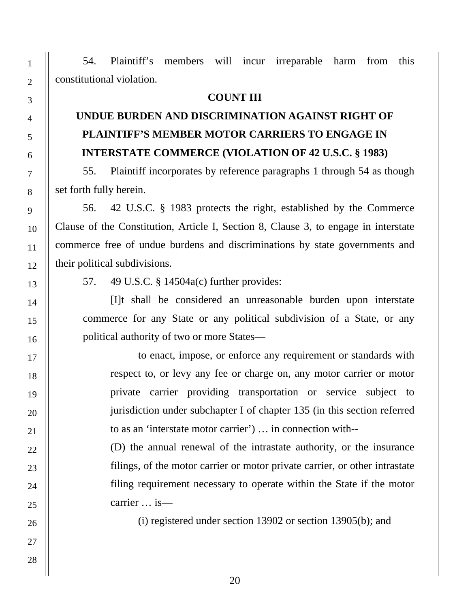54. Plaintiff's members will incur irreparable harm from this constitutional violation.

#### **COUNT III**

# **UNDUE BURDEN AND DISCRIMINATION AGAINST RIGHT OF PLAINTIFF'S MEMBER MOTOR CARRIERS TO ENGAGE IN INTERSTATE COMMERCE (VIOLATION OF 42 U.S.C. § 1983)**

55. Plaintiff incorporates by reference paragraphs 1 through 54 as though set forth fully herein.

56. 42 U.S.C. § 1983 protects the right, established by the Commerce Clause of the Constitution, Article I, Section 8, Clause 3, to engage in interstate commerce free of undue burdens and discriminations by state governments and their political subdivisions.

57. 49 U.S.C. § 14504a(c) further provides:

[I]t shall be considered an unreasonable burden upon interstate commerce for any State or any political subdivision of a State, or any political authority of two or more States—

to enact, impose, or enforce any requirement or standards with respect to, or levy any fee or charge on, any motor carrier or motor private carrier providing transportation or service subject to jurisdiction under subchapter I of chapter 135 (in this section referred to as an 'interstate motor carrier') … in connection with--

(D) the annual renewal of the intrastate authority, or the insurance filings, of the motor carrier or motor private carrier, or other intrastate filing requirement necessary to operate within the State if the motor carrier … is—

(i) registered under section 13902 or section 13905(b); and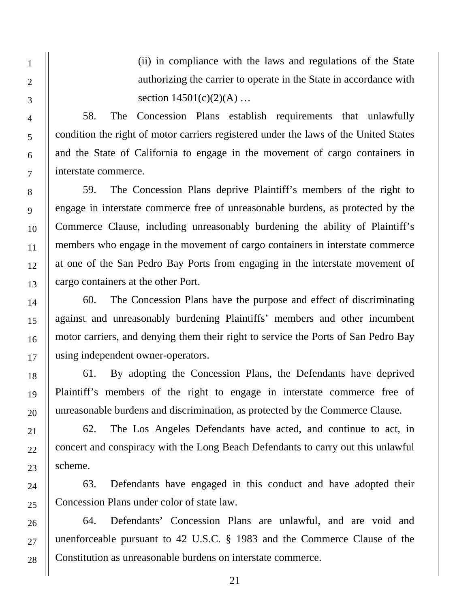(ii) in compliance with the laws and regulations of the State authorizing the carrier to operate in the State in accordance with section  $14501(c)(2)(A)$  ...

58. The Concession Plans establish requirements that unlawfully condition the right of motor carriers registered under the laws of the United States and the State of California to engage in the movement of cargo containers in interstate commerce.

59. The Concession Plans deprive Plaintiff's members of the right to engage in interstate commerce free of unreasonable burdens, as protected by the Commerce Clause, including unreasonably burdening the ability of Plaintiff's members who engage in the movement of cargo containers in interstate commerce at one of the San Pedro Bay Ports from engaging in the interstate movement of cargo containers at the other Port.

60. The Concession Plans have the purpose and effect of discriminating against and unreasonably burdening Plaintiffs' members and other incumbent motor carriers, and denying them their right to service the Ports of San Pedro Bay using independent owner-operators.

61. By adopting the Concession Plans, the Defendants have deprived Plaintiff's members of the right to engage in interstate commerce free of unreasonable burdens and discrimination, as protected by the Commerce Clause.

62. The Los Angeles Defendants have acted, and continue to act, in concert and conspiracy with the Long Beach Defendants to carry out this unlawful scheme.

63. Defendants have engaged in this conduct and have adopted their Concession Plans under color of state law.

64. Defendants' Concession Plans are unlawful, and are void and unenforceable pursuant to 42 U.S.C. § 1983 and the Commerce Clause of the Constitution as unreasonable burdens on interstate commerce.

27

28

1

2

3

4

5

6

7

8